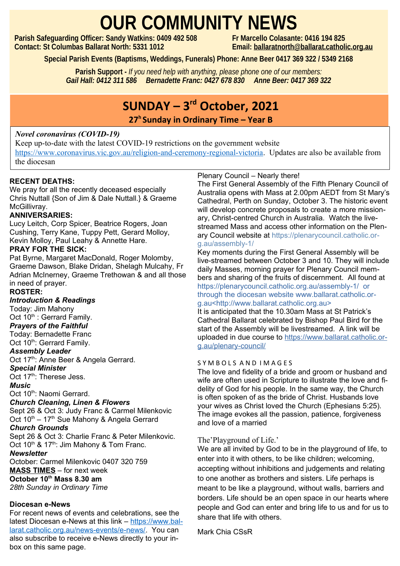# **OUR COMMUNITY NEWS**<br>: Sandy Watkins: 0409 492 508<br>Fr Marcello Colasante: 0416 194 825

**Parish Safeguarding Officer: Sandy Watkins: 0409 492 508 Contact: St Columbas Ballarat North: 5331 1012 Email: [ballaratnorth@ballarat.catholic.org.au](mailto:ballaratnorth@ballarat.catholic.org.au)**

**Special Parish Events (Baptisms, Weddings, Funerals) Phone: Anne Beer 0417 369 322 / 5349 2168**

**Parish Support -** *If you need help with anything, please phone one of our members: Gail Hall: 0412 311 586 Bernadette Franc: 0427 678 830 Anne Beer: 0417 369 322*

## **SUNDAY – 3rd October, 2021**

**27<sup>h</sup>Sunday in Ordinary Time – Year B** 

#### *Novel coronavirus (COVID-19)*

Keep up-to-date with the latest COVID-19 restrictions on the government website [https://www.coronavirus.vic.gov.au/religion-and-ceremony-regional-victoria.](https://www.coronavirus.vic.gov.au/religion-and-ceremony-regional-victoria) Updates are also be available from the diocesan

#### **RECENT DEATHS:**

We pray for all the recently deceased especially Chris Nuttall {Son of Jim & Dale Nuttall.} & Graeme McGillivrav.

#### **ANNIVERSARIES:**

Lucy Leitch, Corp Spicer, Beatrice Rogers, Joan Cushing, Terry Kane, Tuppy Pett, Gerard Molloy, Kevin Molloy, Paul Leahy & Annette Hare.

#### **PRAY FOR THE SICK:**

Pat Byrne, Margaret MacDonald, Roger Molomby, Graeme Dawson, Blake Dridan, Shelagh Mulcahy, Fr Adrian McInerney, Graeme Trethowan & and all those in need of prayer.

#### **ROSTER:**

*Introduction & Readings* 

Today: Jim Mahony

Oct 10<sup>th</sup> : Gerrard Family.

*Prayers of the Faithful*  Today: Bernadette Franc

#### Oct 10<sup>th</sup>: Gerrard Family.

*Assembly Leader*

Oct 17<sup>th</sup>: Anne Beer & Angela Gerrard.

*Special Minister*

Oct 17<sup>th</sup>: Therese Jess.

#### *Music*

Oct 10<sup>th</sup>: Naomi Gerrard.

#### *Church Cleaning, Linen & Flowers*

Sept 26 & Oct 3: Judy Franc & Carmel Milenkovic Oct  $10^{th} - 17^{th}$  Sue Mahony & Angela Gerrard

#### *Church Grounds*

Sept 26 & Oct 3: Charlie Franc & Peter Milenkovic. Oct 10<sup>th</sup> & 17<sup>th</sup>: Jim Mahony & Tom Franc.

#### *Newsletter*

October: Carmel Milenkovic 0407 320 759 **MASS TIMES** – for next week **October 10th Mass 8.30 am**

*28th Sunday in Ordinary Time*

#### **Diocesan e-News**

For recent news of events and celebrations, see the latest Diocesan e-News at this link – [https://www.bal](https://www.ballarat.catholic.org.au/news-events/e-news/)[larat.catholic.org.au/news-events/e-news/.](https://www.ballarat.catholic.org.au/news-events/e-news/) You can also subscribe to receive e-News directly to your inbox on this same page.

Plenary Council – Nearly there!<br>Plenary Council – Nearly there!

The First General Assembly of the Fifth Plenary Council of Australia opens with Mass at 2.00pm AEDT from St Mary's Cathedral, Perth on Sunday, October 3. The historic event will develop concrete proposals to create a more missionary, Christ-centred Church in Australia. Watch the livestreamed Mass and access other information on the Plenary Council website at https://plenarycouncil.catholic.org.au/assembly-1/

Key moments during the First General Assembly will be live-streamed between October 3 and 10. They will include daily Masses, morning prayer for Plenary Council members and sharing of the fruits of discernment. All found at https://plenarycouncil.catholic.org.au/assembly-1/ or through the diocesan website www.ballarat.catholic.org.au<http://www.ballarat.catholic.org.au>

It is anticipated that the 10.30am Mass at St Patrick's Cathedral Ballarat celebrated by Bishop Paul Bird for the start of the Assembly will be livestreamed. A link will be uploaded in due course to https://www.ballarat.catholic.org.au/plenary-council/

#### SYMBOLS AND IMAGES

The love and fidelity of a bride and groom or husband and wife are often used in Scripture to illustrate the love and fidelity of God for his people. In the same way, the Church is often spoken of as the bride of Christ. Husbands love your wives as Christ loved the Church (Ephesians 5:25). The image evokes all the passion, patience, forgiveness and love of a married

#### The'Playground of Life.'

We are all invited by God to be in the playground of life, to enter into it with others, to be like children; welcoming, accepting without inhibitions and judgements and relating to one another as brothers and sisters. Life perhaps is meant to be like a playground, without walls, barriers and borders. Life should be an open space in our hearts where people and God can enter and bring life to us and for us to share that life with others.

Mark Chia CSsR